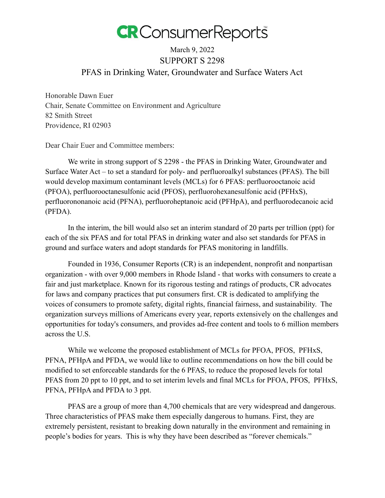

## March 9, 2022 SUPPORT S 2298 PFAS in Drinking Water, Groundwater and Surface Waters Act

Honorable Dawn Euer Chair, Senate Committee on Environment and Agriculture 82 Smith Street Providence, RI 02903

Dear Chair Euer and Committee members:

We write in strong support of S 2298 - the PFAS in Drinking Water, Groundwater and Surface Water Act – to set a standard for poly- and perfluoroalkyl substances (PFAS). The bill would develop maximum contaminant levels (MCLs) for 6 PFAS: perfluorooctanoic acid (PFOA), perfluorooctanesulfonic acid (PFOS), perfluorohexanesulfonic acid (PFHxS), perfluorononanoic acid (PFNA), perfluoroheptanoic acid (PFHpA), and perfluorodecanoic acid (PFDA).

In the interim, the bill would also set an interim standard of 20 parts per trillion (ppt) for each of the six PFAS and for total PFAS in drinking water and also set standards for PFAS in ground and surface waters and adopt standards for PFAS monitoring in landfills.

Founded in 1936, Consumer Reports (CR) is an independent, nonprofit and nonpartisan organization - with over 9,000 members in Rhode Island - that works with consumers to create a fair and just marketplace. Known for its rigorous testing and ratings of products, CR advocates for laws and company practices that put consumers first. CR is dedicated to amplifying the voices of consumers to promote safety, digital rights, financial fairness, and sustainability. The organization surveys millions of Americans every year, reports extensively on the challenges and opportunities for today's consumers, and provides ad-free content and tools to 6 million members across the U.S.

While we welcome the proposed establishment of MCLs for PFOA, PFOS, PFHxS, PFNA, PFHpA and PFDA, we would like to outline recommendations on how the bill could be modified to set enforceable standards for the 6 PFAS, to reduce the proposed levels for total PFAS from 20 ppt to 10 ppt, and to set interim levels and final MCLs for PFOA, PFOS, PFHxS, PFNA, PFHpA and PFDA to 3 ppt.

PFAS are a group of more than 4,700 chemicals that are very widespread and dangerous. Three characteristics of PFAS make them especially dangerous to humans. First, they are extremely persistent, resistant to breaking down naturally in the environment and remaining in people's bodies for years. This is why they have been described as "forever chemicals."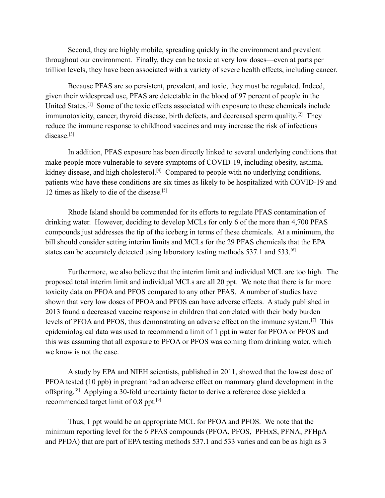Second, they are highly mobile, spreading quickly in the environment and prevalent throughout our environment. Finally, they can be toxic at very low doses—even at parts per trillion levels, they have been associated with a variety of severe health effects, including cancer.

Because PFAS are so persistent, prevalent, and toxic, they must be regulated. Indeed, given their widespread use, PFAS are detectable in the blood of 97 percent of people in the United States.[1] Some of the toxic effects associated with exposure to these chemicals include immunotoxicity, cancer, thyroid disease, birth defects, and decreased sperm quality.<sup>[2]</sup> They reduce the immune response to childhood vaccines and may increase the risk of infectious disease.<sup>[3]</sup>

In addition, PFAS exposure has been directly linked to several underlying conditions that make people more vulnerable to severe symptoms of COVID-19, including obesity, asthma, kidney disease, and high cholesterol.<sup>[4]</sup> Compared to people with no underlying conditions, patients who have these conditions are six times as likely to be hospitalized with COVID-19 and 12 times as likely to die of the disease.[5]

Rhode Island should be commended for its efforts to regulate PFAS contamination of drinking water. However, deciding to develop MCLs for only 6 of the more than 4,700 PFAS compounds just addresses the tip of the iceberg in terms of these chemicals. At a minimum, the bill should consider setting interim limits and MCLs for the 29 PFAS chemicals that the EPA states can be accurately detected using laboratory testing methods 537.1 and 533.<sup>[6]</sup>

Furthermore, we also believe that the interim limit and individual MCL are too high. The proposed total interim limit and individual MCLs are all 20 ppt. We note that there is far more toxicity data on PFOA and PFOS compared to any other PFAS. A number of studies have shown that very low doses of PFOA and PFOS can have adverse effects. A study published in 2013 found a decreased vaccine response in children that correlated with their body burden levels of PFOA and PFOS, thus demonstrating an adverse effect on the immune system.[7] This epidemiological data was used to recommend a limit of 1 ppt in water for PFOA or PFOS and this was assuming that all exposure to PFOA or PFOS was coming from drinking water, which we know is not the case.

A study by EPA and NIEH scientists, published in 2011, showed that the lowest dose of PFOA tested (10 ppb) in pregnant had an adverse effect on mammary gland development in the offspring.[8] Applying a 30-fold uncertainty factor to derive a reference dose yielded a recommended target limit of 0.8 ppt.[9]

Thus, 1 ppt would be an appropriate MCL for PFOA and PFOS. We note that the minimum reporting level for the 6 PFAS compounds (PFOA, PFOS, PFHxS, PFNA, PFHpA and PFDA) that are part of EPA testing methods 537.1 and 533 varies and can be as high as 3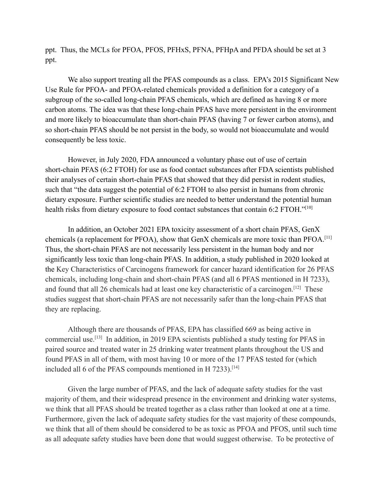ppt. Thus, the MCLs for PFOA, PFOS, PFHxS, PFNA, PFHpA and PFDA should be set at 3 ppt.

We also support treating all the PFAS compounds as a class. EPA's 2015 Significant New Use Rule for PFOA- and PFOA-related chemicals provided a definition for a category of a subgroup of the so-called long-chain PFAS chemicals, which are defined as having 8 or more carbon atoms. The idea was that these long-chain PFAS have more persistent in the environment and more likely to bioaccumulate than short-chain PFAS (having 7 or fewer carbon atoms), and so short-chain PFAS should be not persist in the body, so would not bioaccumulate and would consequently be less toxic.

However, in July 2020, FDA announced a voluntary phase out of use of certain short-chain PFAS (6:2 FTOH) for use as food contact substances after FDA scientists published their analyses of certain short-chain PFAS that showed that they did persist in rodent studies, such that "the data suggest the potential of 6:2 FTOH to also persist in humans from chronic dietary exposure. Further scientific studies are needed to better understand the potential human health risks from dietary exposure to food contact substances that contain 6:2 FTOH."[10]

In addition, an October 2021 EPA toxicity assessment of a short chain PFAS, GenX chemicals (a replacement for PFOA), show that GenX chemicals are more toxic than PFOA.[11] Thus, the short-chain PFAS are not necessarily less persistent in the human body and nor significantly less toxic than long-chain PFAS. In addition, a study published in 2020 looked at the Key Characteristics of Carcinogens framework for cancer hazard identification for 26 PFAS chemicals, including long-chain and short-chain PFAS (and all 6 PFAS mentioned in H 7233), and found that all 26 chemicals had at least one key characteristic of a carcinogen.<sup>[12]</sup> These studies suggest that short-chain PFAS are not necessarily safer than the long-chain PFAS that they are replacing.

Although there are thousands of PFAS, EPA has classified 669 as being active in commercial use.<sup>[13]</sup> In addition, in 2019 EPA scientists published a study testing for PFAS in paired source and treated water in 25 drinking water treatment plants throughout the US and found PFAS in all of them, with most having 10 or more of the 17 PFAS tested for (which included all 6 of the PFAS compounds mentioned in H 7233).<sup>[14]</sup>

Given the large number of PFAS, and the lack of adequate safety studies for the vast majority of them, and their widespread presence in the environment and drinking water systems, we think that all PFAS should be treated together as a class rather than looked at one at a time. Furthermore, given the lack of adequate safety studies for the vast majority of these compounds, we think that all of them should be considered to be as toxic as PFOA and PFOS, until such time as all adequate safety studies have been done that would suggest otherwise. To be protective of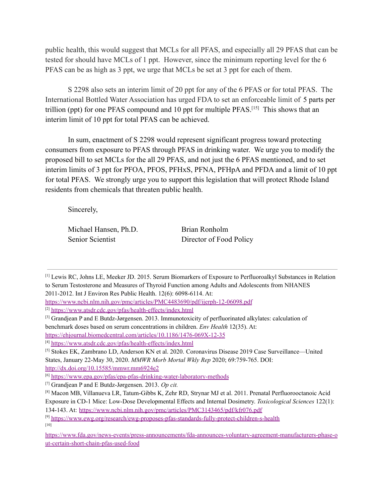public health, this would suggest that MCLs for all PFAS, and especially all 29 PFAS that can be tested for should have MCLs of 1 ppt. However, since the minimum reporting level for the 6 PFAS can be as high as 3 ppt, we urge that MCLs be set at 3 ppt for each of them.

S 2298 also sets an interim limit of 20 ppt for any of the 6 PFAS or for total PFAS. The International Bottled Water Association has urged FDA to set an enforceable limit of 5 parts per trillion (ppt) for one PFAS compound and 10 ppt for multiple PFAS.<sup>[15]</sup> This shows that an interim limit of 10 ppt for total PFAS can be achieved.

In sum, enactment of S 2298 would represent significant progress toward protecting consumers from exposure to PFAS through PFAS in drinking water. We urge you to modify the proposed bill to set MCLs for the all 29 PFAS, and not just the 6 PFAS mentioned, and to set interim limits of 3 ppt for PFOA, PFOS, PFHxS, PFNA, PFHpA and PFDA and a limit of 10 ppt for total PFAS. We strongly urge you to support this legislation that will protect Rhode Island residents from chemicals that threaten public health.

Sincerely,

Michael Hansen, Ph.D. Brian Ronholm

Senior Scientist Director of Food Policy

<sup>[3]</sup> Grandjean P and E Butdz-Jørgensen. 2013. Immunotoxicity of perfluorinated alkylates: calculation of benchmark doses based on serum concentrations in children. *Env Health* 12(35). At:

<sup>[1]</sup> Lewis RC, Johns LE, Meeker JD. 2015. Serum Biomarkers of Exposure to Perfluoroalkyl Substances in Relation to Serum Testosterone and Measures of Thyroid Function among Adults and Adolescents from NHANES 2011-2012. Int J Environ Res Public Health. 12(6): 6098-6114. At:

<https://www.ncbi.nlm.nih.gov/pmc/articles/PMC4483690/pdf/ijerph-12-06098.pdf>

<sup>[2]</sup> <https://www.atsdr.cdc.gov/pfas/health-effects/index.html>

<https://ehjournal.biomedcentral.com/articles/10.1186/1476-069X-12-35>

<sup>[4]</sup> <https://www.atsdr.cdc.gov/pfas/health-effects/index.html>

<sup>[5]</sup> Stokes EK, Zambrano LD, Anderson KN et al. 2020. Coronavirus Disease 2019 Case Surveillance—United States, January 22-May 30, 2020. *MMWR Morb Mortal Wkly Rep* 2020; 69:759-765. DOI: <http://dx.doi.org/10.15585/mmwr.mm6924e2>

<sup>[6]</sup> <https://www.epa.gov/pfas/epa-pfas-drinking-water-laboratory-methods>

<sup>[7]</sup> Grandjean P and E Butdz-Jørgensen. 2013. *Op cit.*

<sup>[8]</sup> Macon MB, Villanueva LR, Tatum-Gibbs K, Zehr RD, Strynar MJ et al. 2011. Prenatal Perfluorooctanoic Acid Exposure in CD-1 Mice: Low-Dose Developmental Effects and Internal Dosimetry. *Toxicological Sciences* 122(1): 134-143. At: <https://www.ncbi.nlm.nih.gov/pmc/articles/PMC3143465/pdf/kfr076.pdf>

<sup>[9]</sup> <https://www.ewg.org/research/ewg-proposes-pfas-standards-fully-protect-children-s-health> [10]

[https://www.fda.gov/news-events/press-announcements/fda-announces-voluntary-agreement-manufacturers-phase-o](https://www.fda.gov/news-events/press-announcements/fda-announces-voluntary-agreement-manufacturers-phase-out-certain-short-chain-pfas-used-food) [ut-certain-short-chain-pfas-used-food](https://www.fda.gov/news-events/press-announcements/fda-announces-voluntary-agreement-manufacturers-phase-out-certain-short-chain-pfas-used-food)